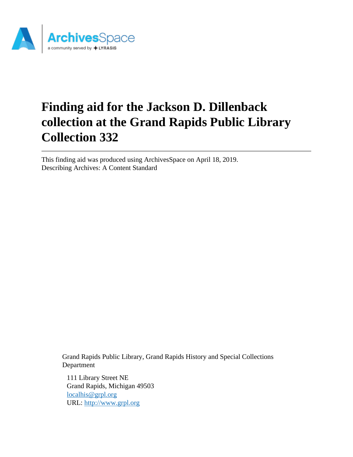

# **Finding aid for the Jackson D. Dillenback collection at the Grand Rapids Public Library Collection 332**

This finding aid was produced using ArchivesSpace on April 18, 2019. Describing Archives: A Content Standard

> Grand Rapids Public Library, Grand Rapids History and Special Collections Department

111 Library Street NE Grand Rapids, Michigan 49503 [localhis@grpl.org](mailto:localhis@grpl.org) URL:<http://www.grpl.org>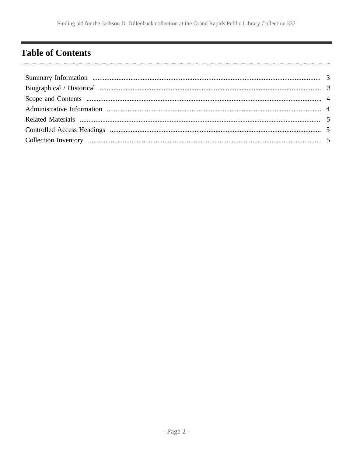# <span id="page-1-0"></span>**Table of Contents**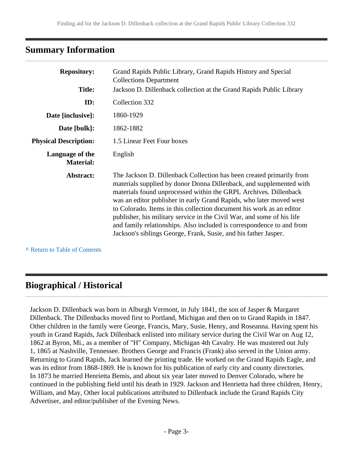## <span id="page-2-0"></span>**Summary Information**

| <b>Repository:</b>                  | Grand Rapids Public Library, Grand Rapids History and Special<br><b>Collections Department</b>                                                                                                                                                                                                                                                                                                                                                                                                                                                                                       |  |  |
|-------------------------------------|--------------------------------------------------------------------------------------------------------------------------------------------------------------------------------------------------------------------------------------------------------------------------------------------------------------------------------------------------------------------------------------------------------------------------------------------------------------------------------------------------------------------------------------------------------------------------------------|--|--|
| <b>Title:</b>                       | Jackson D. Dillenback collection at the Grand Rapids Public Library                                                                                                                                                                                                                                                                                                                                                                                                                                                                                                                  |  |  |
| ID:                                 | Collection 332                                                                                                                                                                                                                                                                                                                                                                                                                                                                                                                                                                       |  |  |
| Date [inclusive]:                   | 1860-1929                                                                                                                                                                                                                                                                                                                                                                                                                                                                                                                                                                            |  |  |
| Date [bulk]:                        | 1862-1882                                                                                                                                                                                                                                                                                                                                                                                                                                                                                                                                                                            |  |  |
| <b>Physical Description:</b>        | 1.5 Linear Feet Four boxes                                                                                                                                                                                                                                                                                                                                                                                                                                                                                                                                                           |  |  |
| Language of the<br><b>Material:</b> | English                                                                                                                                                                                                                                                                                                                                                                                                                                                                                                                                                                              |  |  |
| Abstract:                           | The Jackson D. Dillenback Collection has been created primarily from<br>materials supplied by donor Donna Dillenback, and supplemented with<br>materials found unprocessed within the GRPL Archives. Dillenback<br>was an editor publisher in early Grand Rapids, who later moved west<br>to Colorado. Items in this collection document his work as an editor<br>publisher, his military service in the Civil War, and some of his life<br>and family relationships. Also included is correspondence to and from<br>Jackson's siblings George, Frank, Susie, and his father Jasper. |  |  |

**^** [Return to Table of Contents](#page-1-0)

# <span id="page-2-1"></span>**Biographical / Historical**

Jackson D. Dillenback was born in Alburgh Vermont, in July 1841, the son of Jasper & Margaret Dillenback. The Dillenbacks moved first to Portland, Michigan and then on to Grand Rapids in 1847. Other children in the family were George, Francis, Mary, Susie, Henry, and Roseanna. Having spent his youth in Grand Rapids, Jack Dillenback enlisted into military service during the Civil War on Aug 12, 1862 at Byron, Mi., as a member of "H" Company, Michigan 4th Cavalry. He was mustered out July 1, 1865 at Nashville, Tennessee. Brothers George and Francis (Frank) also served in the Union army. Returning to Grand Rapids, Jack learned the printing trade. He worked on the Grand Rapids Eagle, and was its editor from 1868-1869. He is known for his publication of early city and county directories. In 1873 he married Henrietta Bemis, and about six year later moved to Denver Colorado, where he continued in the publishing field until his death in 1929. Jackson and Henrietta had three children, Henry, William, and May, Other local publications attributed to Dillenback include the Grand Rapids City Advertiser, and editor/publisher of the Evening News.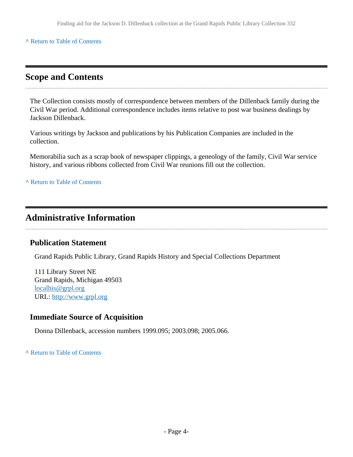#### **^** [Return to Table of Contents](#page-1-0)

### <span id="page-3-0"></span>**Scope and Contents**

The Collection consists mostly of correspondence between members of the Dillenback family during the Civil War period. Additional correspondence includes items relative to post war business dealings by Jackson Dillenback.

Various writings by Jackson and publications by his Publication Companies are included in the collection.

Memorabilia such as a scrap book of newspaper clippings, a geneology of the family, Civil War service history, and various ribbons collected from Civil War reunions fill out the collection.

**^** [Return to Table of Contents](#page-1-0)

# <span id="page-3-1"></span>**Administrative Information**

#### **Publication Statement**

Grand Rapids Public Library, Grand Rapids History and Special Collections Department

111 Library Street NE Grand Rapids, Michigan 49503 [localhis@grpl.org](mailto:localhis@grpl.org) URL:<http://www.grpl.org>

#### **Immediate Source of Acquisition**

Donna Dillenback, accession numbers 1999.095; 2003.098; 2005.066.

**^** [Return to Table of Contents](#page-1-0)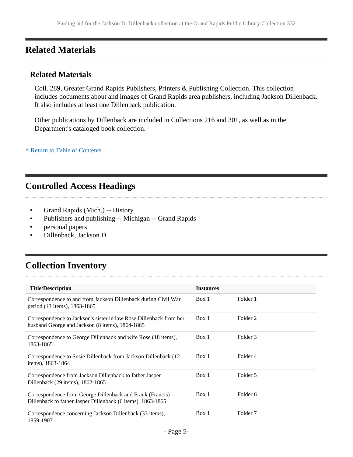## <span id="page-4-0"></span>**Related Materials**

#### **Related Materials**

Coll. 289, Greater Grand Rapids Publishers, Printers & Publishing Collection. This collection includes documents about and images of Grand Rapids area publishers, including Jackson Dillenback. It also includes at least one Dillenback publication.

Other publications by Dillenback are included in Collections 216 and 301, as well as in the Department's cataloged book collection.

**^** [Return to Table of Contents](#page-1-0)

### <span id="page-4-1"></span>**Controlled Access Headings**

- Grand Rapids (Mich.) -- History
- Publishers and publishing -- Michigan -- Grand Rapids
- personal papers
- Dillenback, Jackson D

# <span id="page-4-2"></span>**Collection Inventory**

| <b>Title/Description</b>                                                                                                 | <b>Instances</b> |                     |
|--------------------------------------------------------------------------------------------------------------------------|------------------|---------------------|
| Correspondence to and from Jackson Dillenback during Civil War<br>period (13 Items), 1863-1865                           | Box 1            | Folder 1            |
| Correspondence to Jackson's sister in law Rose Dillenback from her<br>husband George and Jackson (8 items), 1864-1865    | Box 1            | Folder <sub>2</sub> |
| Correspondence to George Dillenback and wife Rose (18 items),<br>1863-1865                                               | Box 1            | Folder 3            |
| Correspondence to Susie Dillenback from Jackson Dillenback (12<br>items), 1863-1864                                      | Box 1            | Folder 4            |
| Correspondence from Jackson Dillenback to father Jasper<br>Dillenback (29 items), 1862-1865                              | Box 1            | Folder 5            |
| Correspondence from George Dillenback and Frank (Francis)<br>Dillenback to father Jasper Dillenback (6 items), 1863-1865 | Box 1            | Folder <sub>6</sub> |
| Correspondence concerning Jackson Dillenback (33 items),<br>1859-1907                                                    | Box 1            | Folder 7            |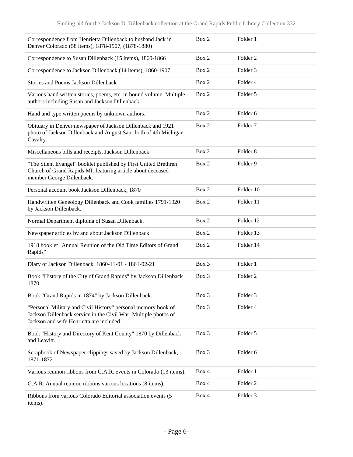| Correspondence from Henrietta Dillenback to husband Jack in<br>Denver Colorado (58 items), 1878-1907, (1878-1880)                                                            | Box 2    | Folder 1            |
|------------------------------------------------------------------------------------------------------------------------------------------------------------------------------|----------|---------------------|
| Correspondence to Susan Dillenback (15 items), 1860-1866                                                                                                                     | Box 2    | Folder <sub>2</sub> |
| Correspondence to Jackson Dillenback (14 items), 1860-1907                                                                                                                   | Box 2    | Folder 3            |
| Stories and Poems Jackson Dillenback                                                                                                                                         | Box 2    | Folder 4            |
| Various hand written stories, poems, etc. in bound volume. Multiple<br>authors including Susan and Jackson Dillenback.                                                       | Box 2    | Folder 5            |
| Hand and type written poems by unknown authors.                                                                                                                              | Box 2    | Folder <sub>6</sub> |
| Obituary in Denver newspaper of Jackson Dillenback and 1921<br>photo of Jackson Dillenback and August Saur both of 4th Michigan<br>Cavalry.                                  | Box 2    | Folder <sub>7</sub> |
| Miscellaneous bills and receipts, Jackson Dillenback.                                                                                                                        | Box 2    | Folder <sub>8</sub> |
| "The Silent Evangel" booklet published by First United Brethren<br>Church of Grand Rapids MI. featuring article about deceased<br>member George Dillenback.                  | Box 2    | Folder 9            |
| Personal account book Jackson Dillenback, 1870                                                                                                                               | Box 2    | Folder 10           |
| Handwritten Geneology Dillenback and Cook families 1791-1920<br>by Jackson Dillenback.                                                                                       | Box 2    | Folder 11           |
| Normal Department diploma of Susan Dillenback.                                                                                                                               | Box 2    | Folder 12           |
| Newspaper articles by and about Jackson Dillenback.                                                                                                                          | Box 2    | Folder 13           |
| 1918 booklet "Annual Reunion of the Old Time Editors of Grand<br>Rapids"                                                                                                     | Box 2    | Folder 14           |
| Diary of Jackson Dillenback, 1860-11-01 - 1861-02-21                                                                                                                         | Box 3    | Folder 1            |
| Book "History of the City of Grand Rapids" by Jackson Dillenback<br>1870.                                                                                                    | $Box\ 3$ | Folder <sub>2</sub> |
| Book "Grand Rapids in 1874" by Jackson Dillenback.                                                                                                                           | Box 3    | Folder 3            |
| "Personal Military and Civil History" personal memory book of<br>Jackson Dillenback service in the Civil War. Multiple photos of<br>Jackson and wife Henrietta are included. | Box 3    | Folder 4            |
| Book "History and Directory of Kent County" 1870 by Dillenback<br>and Leavitt.                                                                                               | Box 3    | Folder 5            |
| Scrapbook of Newspaper clippings saved by Jackson Dillenback,<br>1871-1872                                                                                                   | Box 3    | Folder 6            |
| Various reunion ribbons from G.A.R. events in Colorado (13 items).                                                                                                           | Box 4    | Folder 1            |
| G.A.R. Annual reunion ribbons various locations (8 items).                                                                                                                   | Box 4    | Folder <sub>2</sub> |
| Ribbons from various Colorado Editorial association events (5<br>items).                                                                                                     | Box 4    | Folder 3            |